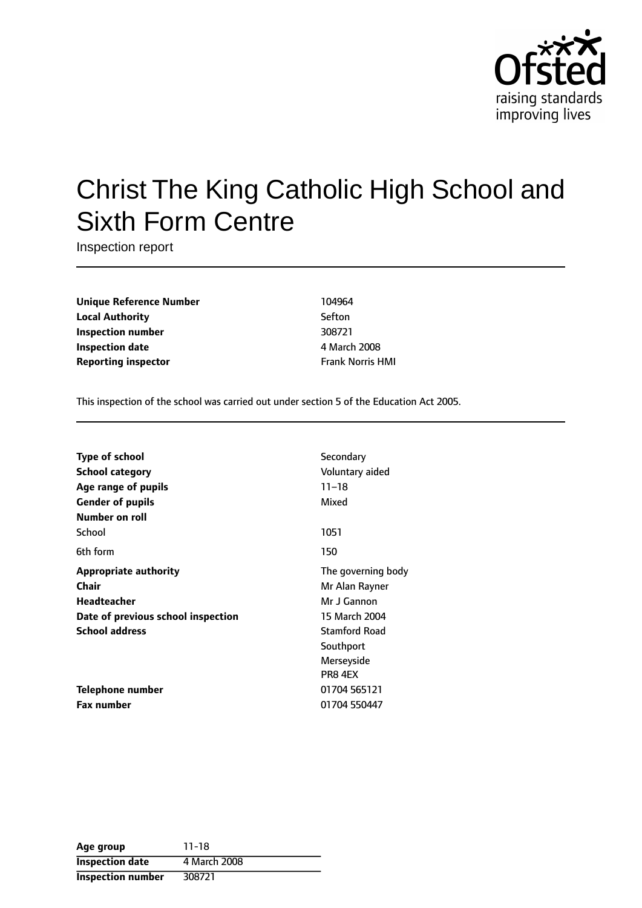

# Christ The King Catholic High School and Sixth Form Centre

Inspection report

**Unique Reference Number** 104964 **Local Authority** Sefton **Inspection number** 308721 **Inspection date** 4 March 2008 **Reporting inspector Frank Norris HMI** 

This inspection of the school was carried out under section 5 of the Education Act 2005.

| <b>Type of school</b>              | Secondary            |
|------------------------------------|----------------------|
| <b>School category</b>             | Voluntary aided      |
| Age range of pupils                | $11 - 18$            |
| <b>Gender of pupils</b>            | Mixed                |
| Number on roll                     |                      |
| School                             | 1051                 |
| 6th form                           | 150                  |
| <b>Appropriate authority</b>       | The governing body   |
| Chair                              | Mr Alan Rayner       |
| <b>Headteacher</b>                 | Mr J Gannon          |
| Date of previous school inspection | 15 March 2004        |
| <b>School address</b>              | <b>Stamford Road</b> |
|                                    | Southport            |
|                                    | Merseyside           |
|                                    | PR8 4EX              |
| Telephone number                   | 01704 565121         |
| Fax number                         | 01704 550447         |

| Age group                | $11 - 18$    |
|--------------------------|--------------|
| <b>Inspection date</b>   | 4 March 2008 |
| <b>Inspection number</b> | 308721       |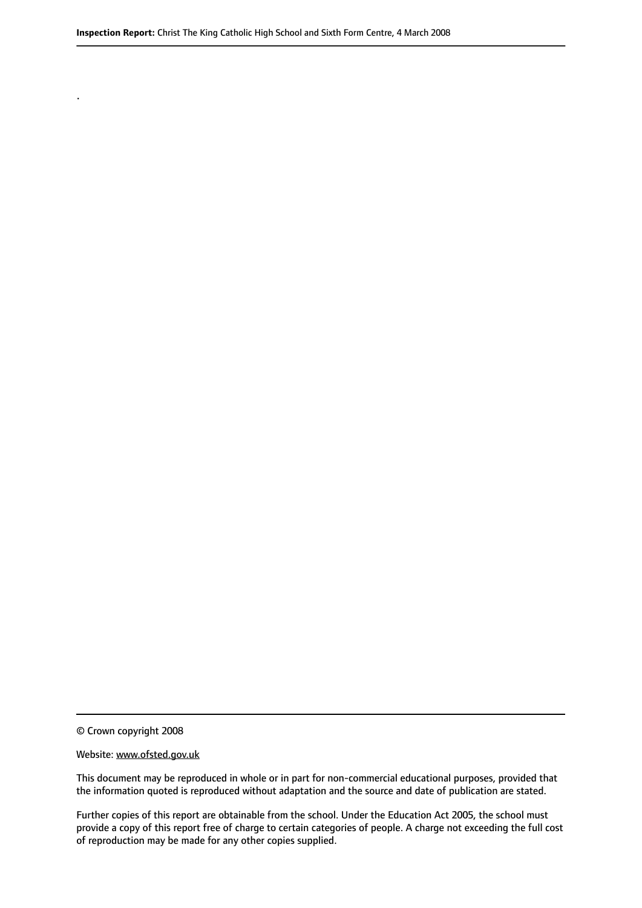© Crown copyright 2008

.

#### Website: www.ofsted.gov.uk

This document may be reproduced in whole or in part for non-commercial educational purposes, provided that the information quoted is reproduced without adaptation and the source and date of publication are stated.

Further copies of this report are obtainable from the school. Under the Education Act 2005, the school must provide a copy of this report free of charge to certain categories of people. A charge not exceeding the full cost of reproduction may be made for any other copies supplied.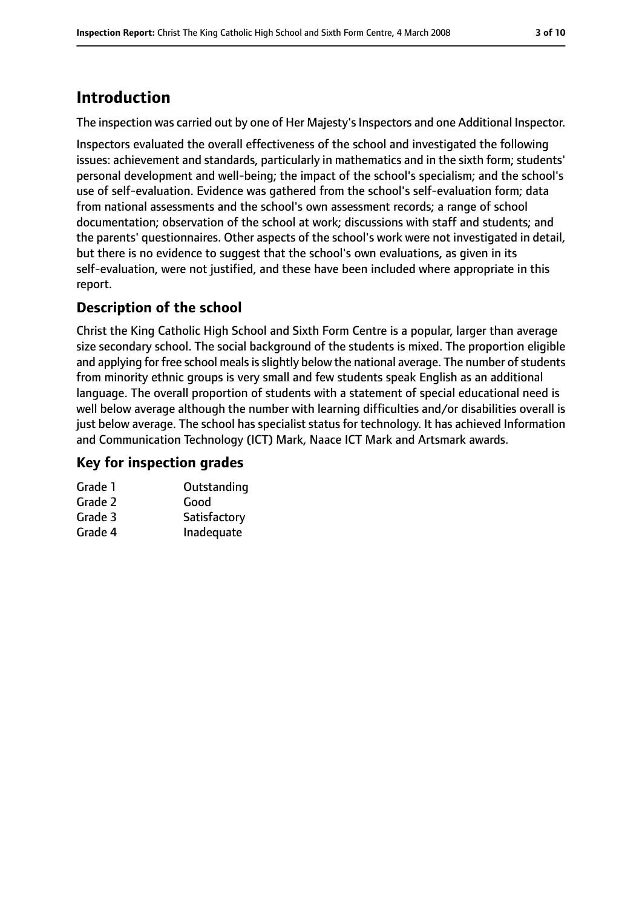## **Introduction**

The inspection was carried out by one of Her Majesty's Inspectors and one Additional Inspector.

Inspectors evaluated the overall effectiveness of the school and investigated the following issues: achievement and standards, particularly in mathematics and in the sixth form; students' personal development and well-being; the impact of the school's specialism; and the school's use of self-evaluation. Evidence was gathered from the school's self-evaluation form; data from national assessments and the school's own assessment records; a range of school documentation; observation of the school at work; discussions with staff and students; and the parents' questionnaires. Other aspects of the school's work were not investigated in detail, but there is no evidence to suggest that the school's own evaluations, as given in its self-evaluation, were not justified, and these have been included where appropriate in this report.

### **Description of the school**

Christ the King Catholic High School and Sixth Form Centre is a popular, larger than average size secondary school. The social background of the students is mixed. The proportion eligible and applying for free school meals is slightly below the national average. The number of students from minority ethnic groups is very small and few students speak English as an additional language. The overall proportion of students with a statement of special educational need is well below average although the number with learning difficulties and/or disabilities overall is just below average. The school has specialist status for technology. It has achieved Information and Communication Technology (ICT) Mark, Naace ICT Mark and Artsmark awards.

### **Key for inspection grades**

| Grade 1 | Outstanding  |
|---------|--------------|
| Grade 2 | Good         |
| Grade 3 | Satisfactory |
| Grade 4 | Inadequate   |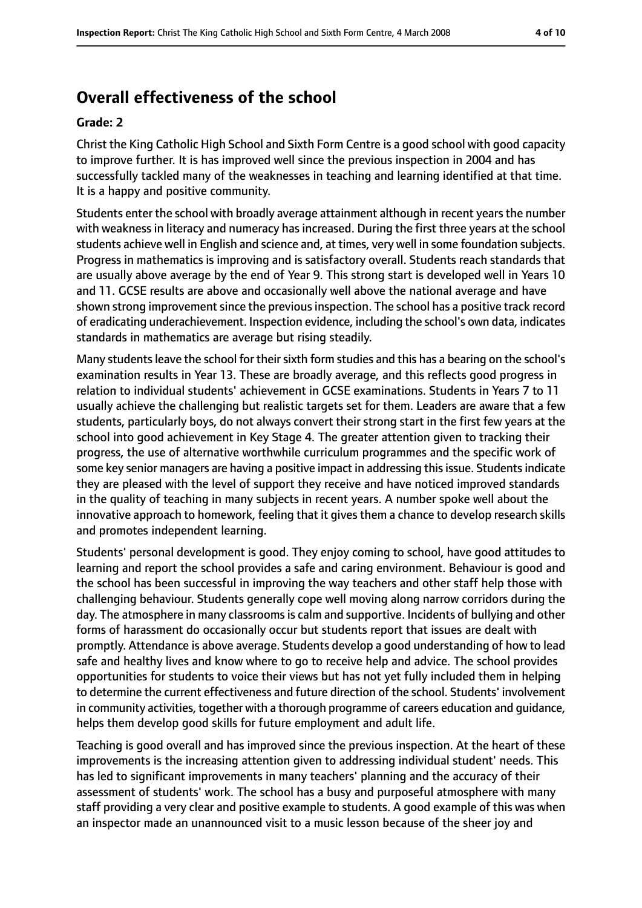# **Overall effectiveness of the school**

### **Grade: 2**

Christ the King Catholic High School and Sixth Form Centre is a good school with good capacity to improve further. It is has improved well since the previous inspection in 2004 and has successfully tackled many of the weaknesses in teaching and learning identified at that time. It is a happy and positive community.

Students enter the school with broadly average attainment although in recent years the number with weakness in literacy and numeracy has increased. During the first three years at the school students achieve well in English and science and, at times, very well in some foundation subjects. Progress in mathematics is improving and is satisfactory overall. Students reach standards that are usually above average by the end of Year 9. This strong start is developed well in Years 10 and 11. GCSE results are above and occasionally well above the national average and have shown strong improvement since the previous inspection. The school has a positive track record of eradicating underachievement. Inspection evidence, including the school's own data, indicates standards in mathematics are average but rising steadily.

Many students leave the school for their sixth form studies and this has a bearing on the school's examination results in Year 13. These are broadly average, and this reflects good progress in relation to individual students' achievement in GCSE examinations. Students in Years 7 to 11 usually achieve the challenging but realistic targets set for them. Leaders are aware that a few students, particularly boys, do not always convert their strong start in the first few years at the school into good achievement in Key Stage 4. The greater attention given to tracking their progress, the use of alternative worthwhile curriculum programmes and the specific work of some key senior managers are having a positive impact in addressing this issue. Students indicate they are pleased with the level of support they receive and have noticed improved standards in the quality of teaching in many subjects in recent years. A number spoke well about the innovative approach to homework, feeling that it gives them a chance to develop research skills and promotes independent learning.

Students' personal development is good. They enjoy coming to school, have good attitudes to learning and report the school provides a safe and caring environment. Behaviour is good and the school has been successful in improving the way teachers and other staff help those with challenging behaviour. Students generally cope well moving along narrow corridors during the day. The atmosphere in many classrooms is calm and supportive. Incidents of bullying and other forms of harassment do occasionally occur but students report that issues are dealt with promptly. Attendance is above average. Students develop a good understanding of how to lead safe and healthy lives and know where to go to receive help and advice. The school provides opportunities for students to voice their views but has not yet fully included them in helping to determine the current effectiveness and future direction of the school. Students' involvement in community activities, together with a thorough programme of careers education and guidance, helps them develop good skills for future employment and adult life.

Teaching is good overall and has improved since the previous inspection. At the heart of these improvements is the increasing attention given to addressing individual student' needs. This has led to significant improvements in many teachers' planning and the accuracy of their assessment of students' work. The school has a busy and purposeful atmosphere with many staff providing a very clear and positive example to students. A good example of this was when an inspector made an unannounced visit to a music lesson because of the sheer joy and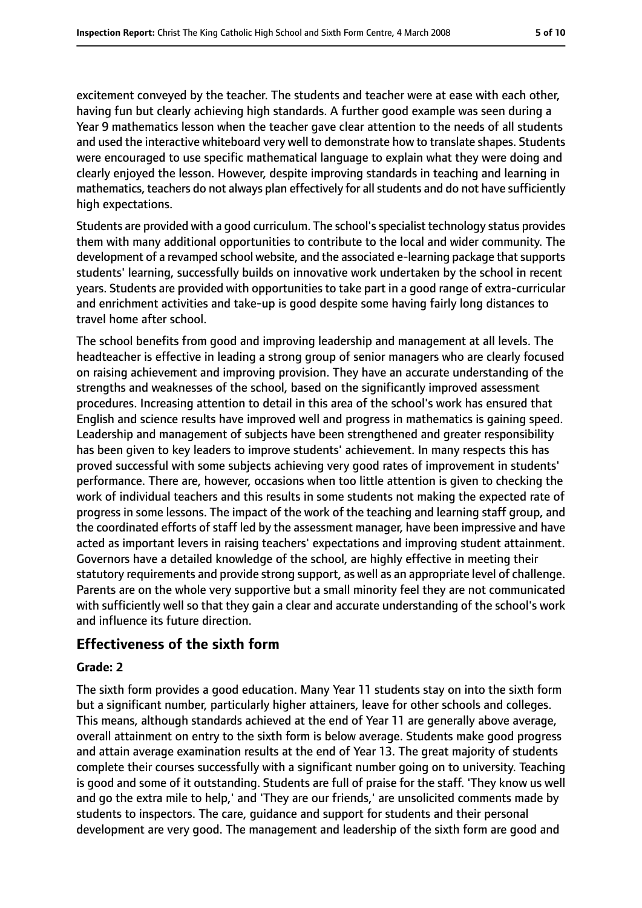excitement conveyed by the teacher. The students and teacher were at ease with each other, having fun but clearly achieving high standards. A further good example was seen during a Year 9 mathematics lesson when the teacher gave clear attention to the needs of all students and used the interactive whiteboard very well to demonstrate how to translate shapes. Students were encouraged to use specific mathematical language to explain what they were doing and clearly enjoyed the lesson. However, despite improving standards in teaching and learning in mathematics, teachers do not always plan effectively for all students and do not have sufficiently high expectations.

Students are provided with a good curriculum. The school's specialist technology status provides them with many additional opportunities to contribute to the local and wider community. The development of a revamped school website, and the associated e-learning package that supports students' learning, successfully builds on innovative work undertaken by the school in recent years. Students are provided with opportunities to take part in a good range of extra-curricular and enrichment activities and take-up is good despite some having fairly long distances to travel home after school.

The school benefits from good and improving leadership and management at all levels. The headteacher is effective in leading a strong group of senior managers who are clearly focused on raising achievement and improving provision. They have an accurate understanding of the strengths and weaknesses of the school, based on the significantly improved assessment procedures. Increasing attention to detail in this area of the school's work has ensured that English and science results have improved well and progress in mathematics is gaining speed. Leadership and management of subjects have been strengthened and greater responsibility has been given to key leaders to improve students' achievement. In many respects this has proved successful with some subjects achieving very good rates of improvement in students' performance. There are, however, occasions when too little attention is given to checking the work of individual teachers and this results in some students not making the expected rate of progress in some lessons. The impact of the work of the teaching and learning staff group, and the coordinated efforts of staff led by the assessment manager, have been impressive and have acted as important levers in raising teachers' expectations and improving student attainment. Governors have a detailed knowledge of the school, are highly effective in meeting their statutory requirements and provide strong support, as well as an appropriate level of challenge. Parents are on the whole very supportive but a small minority feel they are not communicated with sufficiently well so that they gain a clear and accurate understanding of the school's work and influence its future direction.

### **Effectiveness of the sixth form**

### **Grade: 2**

The sixth form provides a good education. Many Year 11 students stay on into the sixth form but a significant number, particularly higher attainers, leave for other schools and colleges. This means, although standards achieved at the end of Year 11 are generally above average, overall attainment on entry to the sixth form is below average. Students make good progress and attain average examination results at the end of Year 13. The great majority of students complete their courses successfully with a significant number going on to university. Teaching is good and some of it outstanding. Students are full of praise for the staff. 'They know us well and go the extra mile to help,' and 'They are our friends,' are unsolicited comments made by students to inspectors. The care, guidance and support for students and their personal development are very good. The management and leadership of the sixth form are good and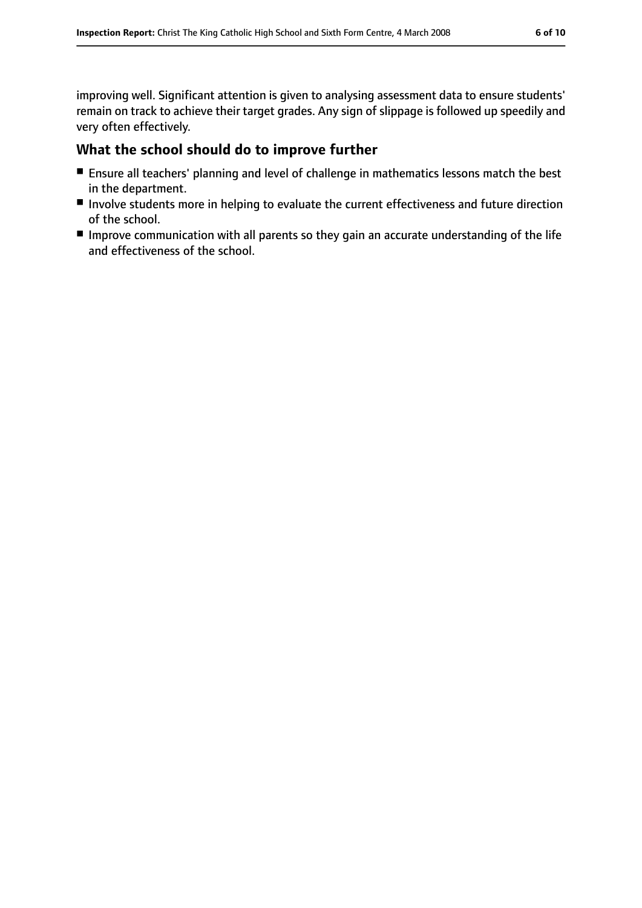improving well. Significant attention is given to analysing assessment data to ensure students' remain on track to achieve their target grades. Any sign of slippage is followed up speedily and very often effectively.

## **What the school should do to improve further**

- Ensure all teachers' planning and level of challenge in mathematics lessons match the best in the department.
- Involve students more in helping to evaluate the current effectiveness and future direction of the school.
- Improve communication with all parents so they gain an accurate understanding of the life and effectiveness of the school.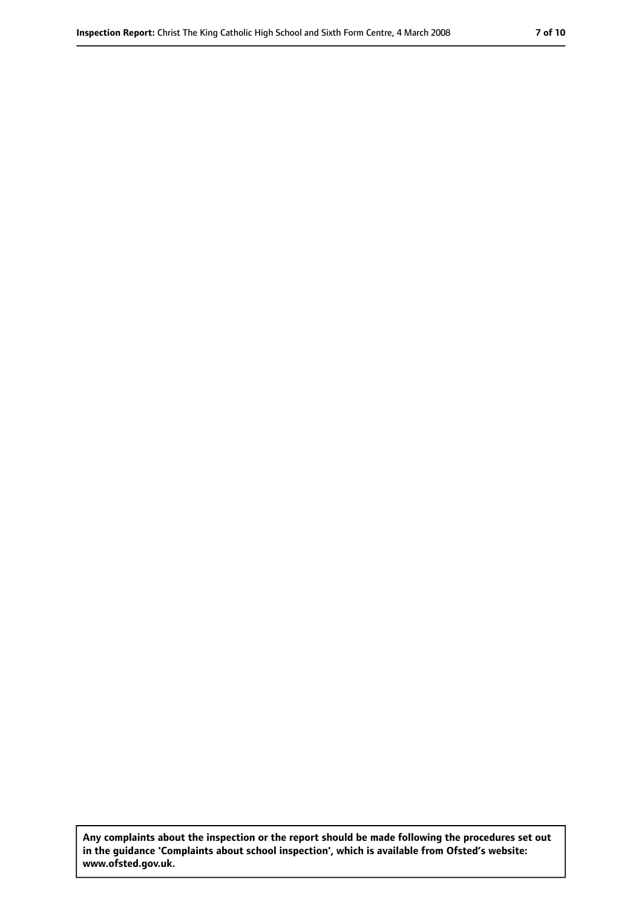**Any complaints about the inspection or the report should be made following the procedures set out in the guidance 'Complaints about school inspection', which is available from Ofsted's website: www.ofsted.gov.uk.**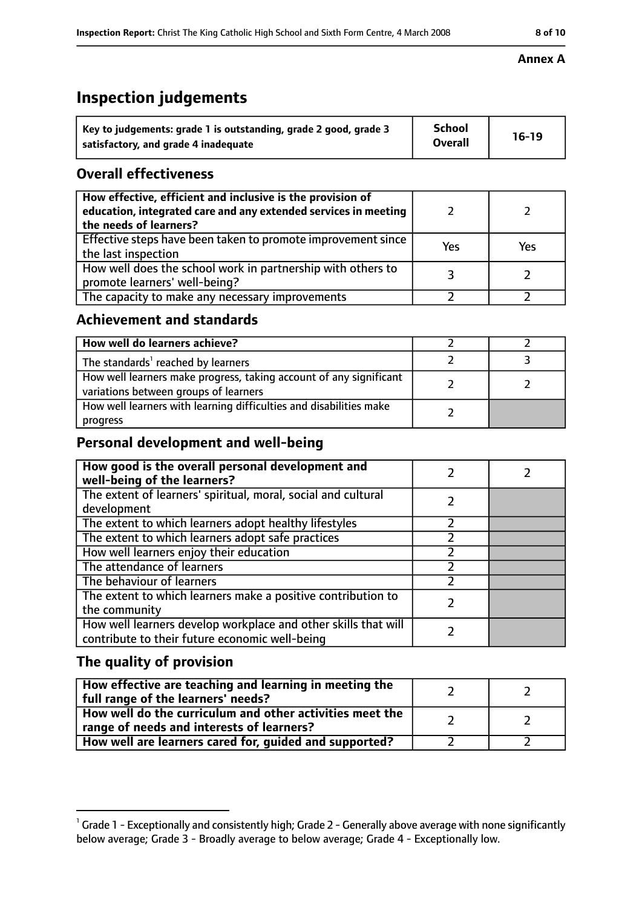# **Inspection judgements**

| Key to judgements: grade 1 is outstanding, grade 2 good, grade 3 | <b>School</b><br><b>Overall</b> | $16-19$ |
|------------------------------------------------------------------|---------------------------------|---------|
| satisfactory, and grade 4 inadequate                             |                                 |         |

## **Overall effectiveness**

| How effective, efficient and inclusive is the provision of<br>education, integrated care and any extended services in meeting<br>the needs of learners? |     |     |
|---------------------------------------------------------------------------------------------------------------------------------------------------------|-----|-----|
| Effective steps have been taken to promote improvement since<br>the last inspection                                                                     | Yes | Yes |
| How well does the school work in partnership with others to<br>promote learners' well-being?                                                            |     |     |
| The capacity to make any necessary improvements                                                                                                         |     |     |

## **Achievement and standards**

| How well do learners achieve?                                                                               |  |
|-------------------------------------------------------------------------------------------------------------|--|
| The standards <sup>1</sup> reached by learners                                                              |  |
| How well learners make progress, taking account of any significant<br>variations between groups of learners |  |
| How well learners with learning difficulties and disabilities make<br>progress                              |  |

## **Personal development and well-being**

| How good is the overall personal development and<br>well-being of the learners?                                  |  |
|------------------------------------------------------------------------------------------------------------------|--|
| The extent of learners' spiritual, moral, social and cultural<br>development                                     |  |
| The extent to which learners adopt healthy lifestyles                                                            |  |
| The extent to which learners adopt safe practices                                                                |  |
| How well learners enjoy their education                                                                          |  |
| The attendance of learners                                                                                       |  |
| The behaviour of learners                                                                                        |  |
| The extent to which learners make a positive contribution to<br>the community                                    |  |
| How well learners develop workplace and other skills that will<br>contribute to their future economic well-being |  |

# **The quality of provision**

| How effective are teaching and learning in meeting the<br>full range of the learners' needs?          |  |
|-------------------------------------------------------------------------------------------------------|--|
| How well do the curriculum and other activities meet the<br>range of needs and interests of learners? |  |
| How well are learners cared for, guided and supported?                                                |  |

### **Annex A**

 $^1$  Grade 1 - Exceptionally and consistently high; Grade 2 - Generally above average with none significantly below average; Grade 3 - Broadly average to below average; Grade 4 - Exceptionally low.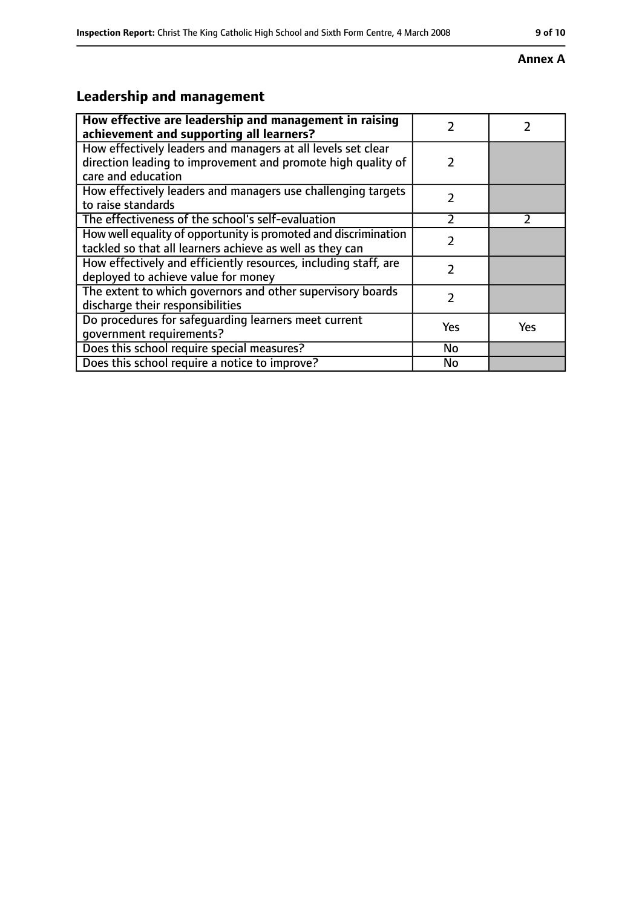### **Annex A**

# **Leadership and management**

| How effective are leadership and management in raising<br>achievement and supporting all learners?                                                 | 7             |               |
|----------------------------------------------------------------------------------------------------------------------------------------------------|---------------|---------------|
| How effectively leaders and managers at all levels set clear<br>direction leading to improvement and promote high quality of<br>care and education | $\mathcal{P}$ |               |
| How effectively leaders and managers use challenging targets<br>to raise standards                                                                 | $\mathcal{P}$ |               |
| The effectiveness of the school's self-evaluation                                                                                                  | C             | $\mathcal{P}$ |
| How well equality of opportunity is promoted and discrimination<br>tackled so that all learners achieve as well as they can                        |               |               |
| How effectively and efficiently resources, including staff, are<br>deployed to achieve value for money                                             | 2             |               |
| The extent to which governors and other supervisory boards<br>discharge their responsibilities                                                     | 2             |               |
| Do procedures for safequarding learners meet current<br>qovernment requirements?                                                                   | Yes           | <b>Yes</b>    |
| Does this school require special measures?                                                                                                         | No            |               |
| Does this school require a notice to improve?                                                                                                      | No            |               |